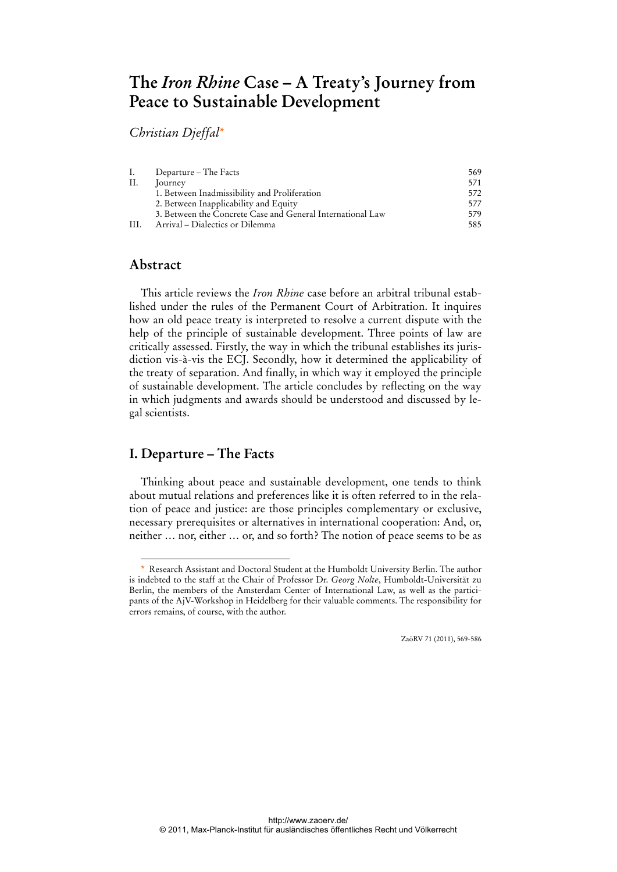# **The** *Iron Rhine* **Case – A Treaty's Journey from Peace to Sustainable Development**

*Christian Djeffal\**

| Ι.  | Departure – The Facts                                      | 569 |
|-----|------------------------------------------------------------|-----|
| II. | ourney                                                     | 571 |
|     | 1. Between Inadmissibility and Proliferation               | 572 |
|     | 2. Between Inapplicability and Equity                      | 577 |
|     | 3. Between the Concrete Case and General International Law | 579 |
| HH. | Arrival – Dialectics or Dilemma                            | 585 |

# **Abstract**

 $\overline{a}$ 

This article reviews the *Iron Rhine* case before an arbitral tribunal established under the rules of the Permanent Court of Arbitration. It inquires how an old peace treaty is interpreted to resolve a current dispute with the help of the principle of sustainable development. Three points of law are critically assessed. Firstly, the way in which the tribunal establishes its jurisdiction vis-à-vis the ECJ. Secondly, how it determined the applicability of the treaty of separation. And finally, in which way it employed the principle of sustainable development. The article concludes by reflecting on the way in which judgments and awards should be understood and discussed by legal scientists.

# **I. Departure – The Facts**

Thinking about peace and sustainable development, one tends to think about mutual relations and preferences like it is often referred to in the relation of peace and justice: are those principles complementary or exclusive, necessary prerequisites or alternatives in international cooperation: And, or, neither … nor, either … or, and so forth? The notion of peace seems to be as

<sup>\*</sup> Research Assistant and Doctoral Student at the Humboldt University Berlin. The author is indebted to the staff at the Chair of Professor Dr. *Georg Nolte*, Humboldt-Universität zu Berlin, the members of the Amsterdam Center of International Law, as well as the participants of the AjV-Workshop in Heidelberg for their valuable comments. The responsibility for errors remains, of course, with the author.

ZaöRV 71 (2011), 569-586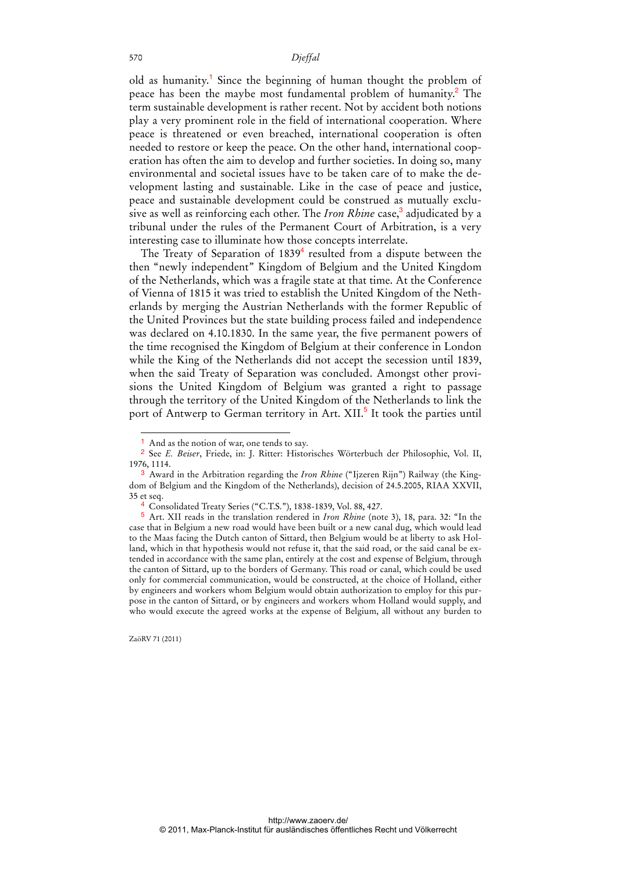old as humanity.<sup>1</sup> Since the beginning of human thought the problem of peace has been the maybe most fundamental problem of humanity.<sup>2</sup> The term sustainable development is rather recent. Not by accident both notions play a very prominent role in the field of international cooperation. Where peace is threatened or even breached, international cooperation is often needed to restore or keep the peace. On the other hand, international cooperation has often the aim to develop and further societies. In doing so, many environmental and societal issues have to be taken care of to make the development lasting and sustainable. Like in the case of peace and justice, peace and sustainable development could be construed as mutually exclusive as well as reinforcing each other. The *Iron Rhine* case,<sup>3</sup> adjudicated by a tribunal under the rules of the Permanent Court of Arbitration, is a very interesting case to illuminate how those concepts interrelate.

The Treaty of Separation of  $1839<sup>4</sup>$  resulted from a dispute between the then "newly independent" Kingdom of Belgium and the United Kingdom of the Netherlands, which was a fragile state at that time. At the Conference of Vienna of 1815 it was tried to establish the United Kingdom of the Netherlands by merging the Austrian Netherlands with the former Republic of the United Provinces but the state building process failed and independence was declared on 4.10.1830. In the same year, the five permanent powers of the time recognised the Kingdom of Belgium at their conference in London while the King of the Netherlands did not accept the secession until 1839, when the said Treaty of Separation was concluded. Amongst other provisions the United Kingdom of Belgium was granted a right to passage through the territory of the United Kingdom of the Netherlands to link the port of Antwerp to German territory in Art. XII.<sup>5</sup> It took the parties until

<sup>&</sup>lt;sup>1</sup> And as the notion of war, one tends to say.

<sup>2</sup> See *E. Beiser*, Friede, in: J. Ritter: Historisches Wörterbuch der Philosophie, Vol. II, 1976, 1114.

<sup>3</sup> Award in the Arbitration regarding the *Iron Rhine* ("Ijzeren Rijn") Railway (the Kingdom of Belgium and the Kingdom of the Netherlands), decision of 24.5.2005, RIAA XXVII, 35 et seq.

<sup>4</sup> Consolidated Treaty Series ("C.T.S."), 1838-1839, Vol. 88, 427.

<sup>5</sup> Art. XII reads in the translation rendered in *Iron Rhine* (note 3), 18, para. 32: "In the case that in Belgium a new road would have been built or a new canal dug, which would lead to the Maas facing the Dutch canton of Sittard, then Belgium would be at liberty to ask Holland, which in that hypothesis would not refuse it, that the said road, or the said canal be extended in accordance with the same plan, entirely at the cost and expense of Belgium, through the canton of Sittard, up to the borders of Germany. This road or canal, which could be used only for commercial communication, would be constructed, at the choice of Holland, either by engineers and workers whom Belgium would obtain authorization to employ for this purpose in the canton of Sittard, or by engineers and workers whom Holland would supply, and who would execute the agreed works at the expense of Belgium, all without any burden to

ZaöRV 71 (2011)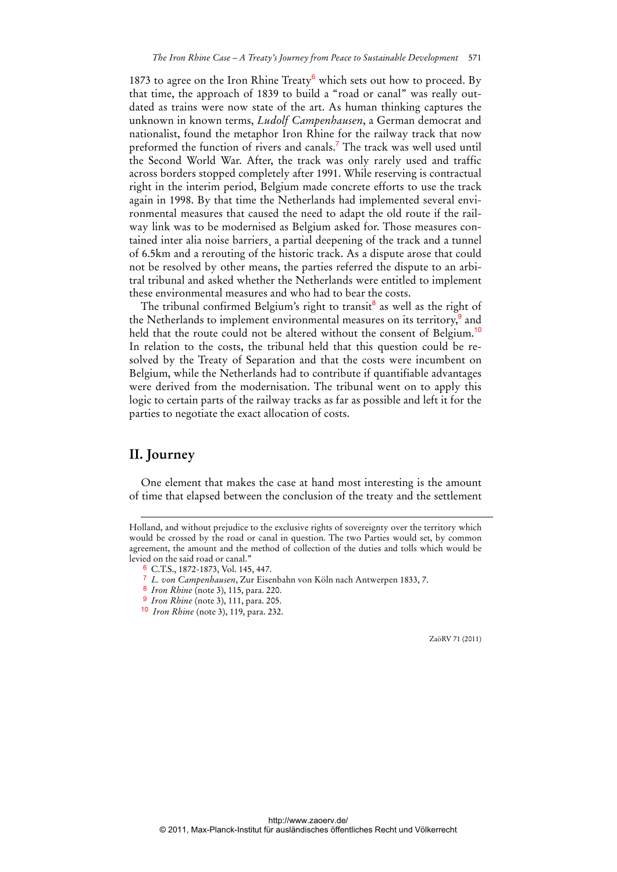1873 to agree on the Iron Rhine Treaty<sup>6</sup> which sets out how to proceed. By that time, the approach of 1839 to build a "road or canal" was really outdated as trains were now state of the art. As human thinking captures the unknown in known terms, *Ludolf Campenhausen*, a German democrat and nationalist, found the metaphor Iron Rhine for the railway track that now preformed the function of rivers and canals.<sup>7</sup> The track was well used until the Second World War. After, the track was only rarely used and traffic across borders stopped completely after 1991. While reserving is contractual right in the interim period, Belgium made concrete efforts to use the track again in 1998. By that time the Netherlands had implemented several environmental measures that caused the need to adapt the old route if the railway link was to be modernised as Belgium asked for. Those measures contained inter alia noise barriers¸ a partial deepening of the track and a tunnel of 6.5km and a rerouting of the historic track. As a dispute arose that could not be resolved by other means, the parties referred the dispute to an arbitral tribunal and asked whether the Netherlands were entitled to implement these environmental measures and who had to bear the costs.

The tribunal confirmed Belgium's right to transit<sup>8</sup> as well as the right of the Netherlands to implement environmental measures on its territory,<sup>9</sup> and held that the route could not be altered without the consent of Belgium.<sup>10</sup> In relation to the costs, the tribunal held that this question could be resolved by the Treaty of Separation and that the costs were incumbent on Belgium, while the Netherlands had to contribute if quantifiable advantages were derived from the modernisation. The tribunal went on to apply this logic to certain parts of the railway tracks as far as possible and left it for the parties to negotiate the exact allocation of costs.

### **II. Journey**

-

One element that makes the case at hand most interesting is the amount of time that elapsed between the conclusion of the treaty and the settlement

Holland, and without prejudice to the exclusive rights of sovereignty over the territory which would be crossed by the road or canal in question. The two Parties would set, by common agreement, the amount and the method of collection of the duties and tolls which would be levied on the said road or canal."

<sup>6</sup> C.T.S., 1872-1873, Vol. 145, 447.

<sup>7</sup> *L. von Campenhausen*, Zur Eisenbahn von Köln nach Antwerpen 1833, 7.

<sup>8</sup> *Iron Rhine* (note 3), 115, para. 220.

<sup>9</sup> *Iron Rhine* (note 3), 111, para. 205.

<sup>10</sup> *Iron Rhine* (note 3), 119, para. 232.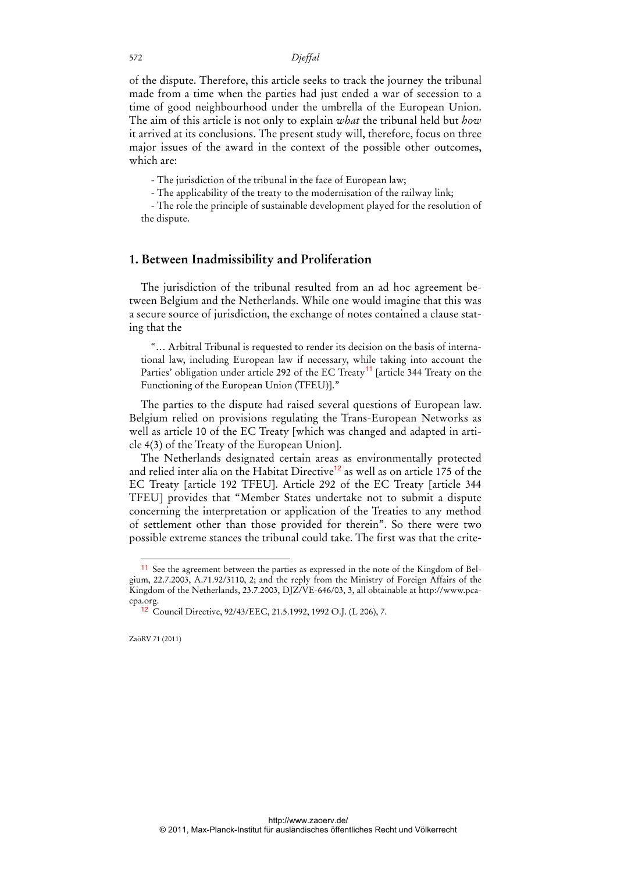of the dispute. Therefore, this article seeks to track the journey the tribunal made from a time when the parties had just ended a war of secession to a time of good neighbourhood under the umbrella of the European Union. The aim of this article is not only to explain *what* the tribunal held but *how* it arrived at its conclusions. The present study will, therefore, focus on three major issues of the award in the context of the possible other outcomes, which are:

- The jurisdiction of the tribunal in the face of European law;

- The applicability of the treaty to the modernisation of the railway link;

- The role the principle of sustainable development played for the resolution of the dispute.

### **1. Between Inadmissibility and Proliferation**

The jurisdiction of the tribunal resulted from an ad hoc agreement between Belgium and the Netherlands. While one would imagine that this was a secure source of jurisdiction, the exchange of notes contained a clause stating that the

"… Arbitral Tribunal is requested to render its decision on the basis of international law, including European law if necessary, while taking into account the Parties' obligation under article 292 of the EC Treaty<sup>11</sup> [article 344 Treaty on the Functioning of the European Union (TFEU)]."

The parties to the dispute had raised several questions of European law. Belgium relied on provisions regulating the Trans-European Networks as well as article 10 of the EC Treaty [which was changed and adapted in article 4(3) of the Treaty of the European Union].

The Netherlands designated certain areas as environmentally protected and relied inter alia on the Habitat Directive<sup>12</sup> as well as on article 175 of the EC Treaty [article 192 TFEU]. Article 292 of the EC Treaty [article 344 TFEU] provides that "Member States undertake not to submit a dispute concerning the interpretation or application of the Treaties to any method of settlement other than those provided for therein". So there were two possible extreme stances the tribunal could take. The first was that the crite-

<sup>11</sup> See the agreement between the parties as expressed in the note of the Kingdom of Belgium, 22.7.2003, A.71.92/3110, 2; and the reply from the Ministry of Foreign Affairs of the Kingdom of the Netherlands, 23.7.2003, DJZ/VE-646/03, 3, all obtainable at http://www.pcacpa.org.

<sup>12</sup> Council Directive, 92/43/EEC, 21.5.1992, 1992 O.J. (L 206), 7.

ZaöRV 71 (2011)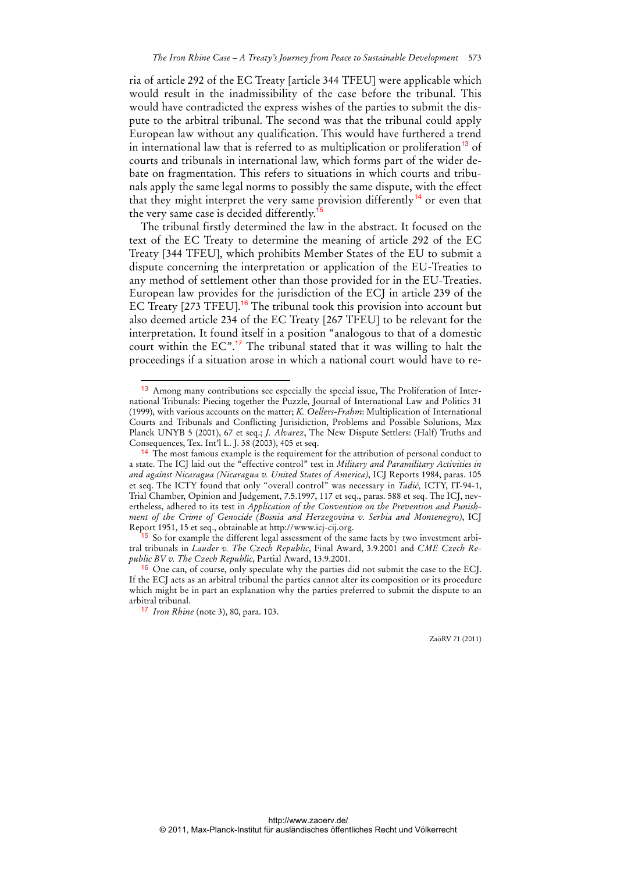ria of article 292 of the EC Treaty [article 344 TFEU] were applicable which would result in the inadmissibility of the case before the tribunal. This would have contradicted the express wishes of the parties to submit the dispute to the arbitral tribunal. The second was that the tribunal could apply European law without any qualification. This would have furthered a trend in international law that is referred to as multiplication or proliferation<sup>13</sup> of courts and tribunals in international law, which forms part of the wider debate on fragmentation. This refers to situations in which courts and tribunals apply the same legal norms to possibly the same dispute, with the effect that they might interpret the very same provision differently<sup>14</sup> or even that the very same case is decided differently.<sup>15</sup>

The tribunal firstly determined the law in the abstract. It focused on the text of the EC Treaty to determine the meaning of article 292 of the EC Treaty [344 TFEU], which prohibits Member States of the EU to submit a dispute concerning the interpretation or application of the EU-Treaties to any method of settlement other than those provided for in the EU-Treaties. European law provides for the jurisdiction of the ECJ in article 239 of the EC Treaty [273 TFEU].<sup>16</sup> The tribunal took this provision into account but also deemed article 234 of the EC Treaty [267 TFEU] to be relevant for the interpretation. It found itself in a position "analogous to that of a domestic court within the  $EC^{\prime\prime}$ .<sup>17</sup> The tribunal stated that it was willing to halt the proceedings if a situation arose in which a national court would have to re-

 $\overline{a}$ 

<sup>13</sup> Among many contributions see especially the special issue, The Proliferation of International Tribunals: Piecing together the Puzzle, Journal of International Law and Politics 31 (1999), with various accounts on the matter; *K. Oellers-Frahm*: Multiplication of International Courts and Tribunals and Conflicting Jurisidiction, Problems and Possible Solutions, Max Planck UNYB 5 (2001), 67 et seq.; *J. Alvarez*, The New Dispute Settlers: (Half) Truths and Consequences, Tex. Int'l L. J. 38 (2003), 405 et seq.

<sup>&</sup>lt;sup>14</sup> The most famous example is the requirement for the attribution of personal conduct to a state. The ICJ laid out the "effective control" test in *Military and Paramilitary Activities in and against Nicaragua (Nicaragua v. United States of America)*, ICJ Reports 1984, paras. 105 et seq. The ICTY found that only "overall control" was necessary in *Tadić,* ICTY, IT-94-1, Trial Chamber, Opinion and Judgement, 7.5.1997, 117 et seq., paras. 588 et seq. The ICJ, nevertheless, adhered to its test in *Application of the Convention on the Prevention and Punishment of the Crime of Genocide (Bosnia and Herzegovina v. Serbia and Montenegro)*, ICJ Report 1951, 15 et seq., obtainable at http://www.icj-cij.org.

<sup>&</sup>lt;sup>15</sup> So for example the different legal assessment of the same facts by two investment arbitral tribunals in *Lauder v. The Czech Republic*, Final Award, 3.9.2001 and *CME Czech Republic BV v. The Czech Republic*, Partial Award, 13.9.2001.

<sup>&</sup>lt;sup>16</sup> One can, of course, only speculate why the parties did not submit the case to the ECJ. If the ECJ acts as an arbitral tribunal the parties cannot alter its composition or its procedure which might be in part an explanation why the parties preferred to submit the dispute to an arbitral tribunal.

<sup>17</sup> *Iron Rhine* (note 3), 80, para. 103.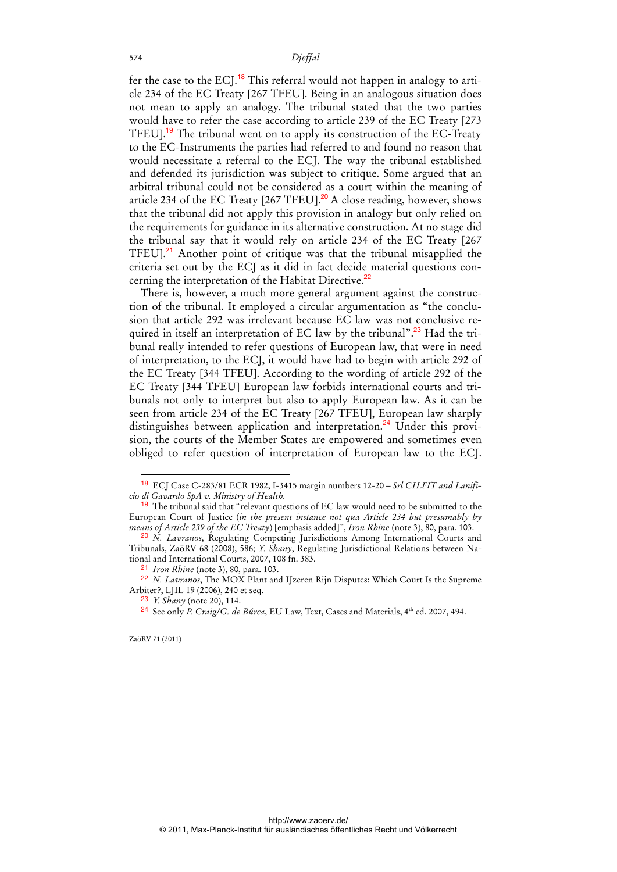fer the case to the ECJ.<sup>18</sup> This referral would not happen in analogy to article 234 of the EC Treaty [267 TFEU]. Being in an analogous situation does not mean to apply an analogy. The tribunal stated that the two parties would have to refer the case according to article 239 of the EC Treaty [273 TFEU].<sup>19</sup> The tribunal went on to apply its construction of the EC-Treaty to the EC-Instruments the parties had referred to and found no reason that would necessitate a referral to the ECJ. The way the tribunal established and defended its jurisdiction was subject to critique. Some argued that an arbitral tribunal could not be considered as a court within the meaning of article 234 of the EC Treaty  $[267$  TFEU].<sup>20</sup> A close reading, however, shows that the tribunal did not apply this provision in analogy but only relied on the requirements for guidance in its alternative construction. At no stage did the tribunal say that it would rely on article 234 of the EC Treaty [267 TFEU].<sup>21</sup> Another point of critique was that the tribunal misapplied the criteria set out by the ECJ as it did in fact decide material questions concerning the interpretation of the Habitat Directive.<sup>22</sup>

There is, however, a much more general argument against the construction of the tribunal. It employed a circular argumentation as "the conclusion that article 292 was irrelevant because EC law was not conclusive required in itself an interpretation of EC law by the tribunal".<sup>23</sup> Had the tribunal really intended to refer questions of European law, that were in need of interpretation, to the ECJ, it would have had to begin with article 292 of the EC Treaty [344 TFEU]. According to the wording of article 292 of the EC Treaty [344 TFEU] European law forbids international courts and tribunals not only to interpret but also to apply European law. As it can be seen from article 234 of the EC Treaty [267 TFEU], European law sharply distinguishes between application and interpretation.<sup>24</sup> Under this provision, the courts of the Member States are empowered and sometimes even obliged to refer question of interpretation of European law to the ECJ.

ZaöRV 71 (2011)

<sup>18</sup> ECJ Case C-283/81 ECR 1982, I-3415 margin numbers 12-20 – *Srl CILFIT and Lanificio di Gavardo SpA v. Ministry of Health.*

 $19$  The tribunal said that "relevant questions of EC law would need to be submitted to the European Court of Justice (*in the present instance not qua Article 234 but presumably by means of Article 239 of the EC Treaty*) [emphasis added]", *Iron Rhine* (note 3), 80, para. 103.

<sup>20</sup> *N. Lavranos*, Regulating Competing Jurisdictions Among International Courts and Tribunals, ZaöRV 68 (2008), 586; *Y. Shany*, Regulating Jurisdictional Relations between National and International Courts, 2007, 108 fn. 383.

<sup>21</sup> *Iron Rhine* (note 3), 80, para. 103.

<sup>22</sup> *N. Lavranos*, The MOX Plant and IJzeren Rijn Disputes: Which Court Is the Supreme Arbiter?, LJIL 19 (2006), 240 et seq.

<sup>23</sup> *Y. Shany* (note 20), 114.

<sup>&</sup>lt;sup>24</sup> See only *P. Craig/G. de Búrca*, EU Law, Text, Cases and Materials, 4<sup>th</sup> ed. 2007, 494.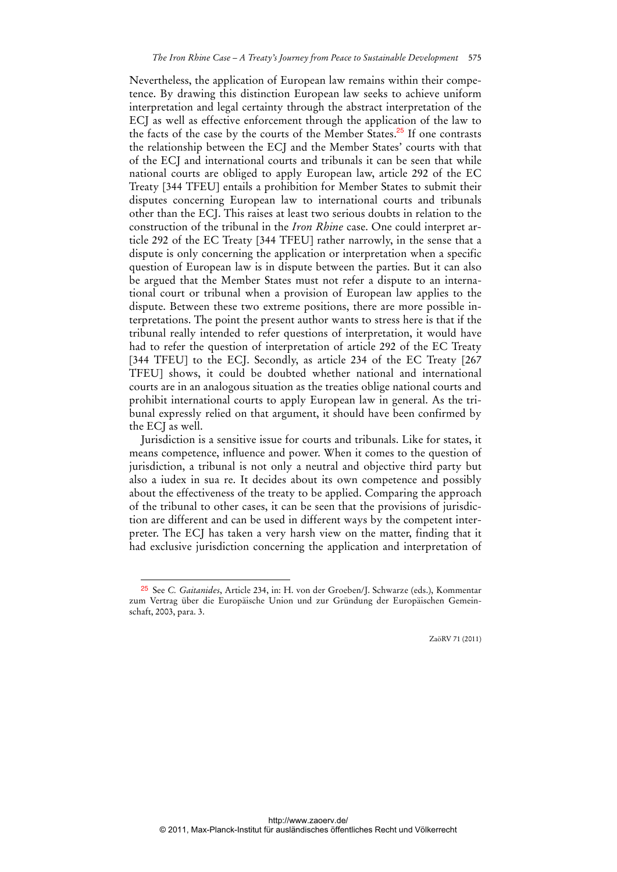Nevertheless, the application of European law remains within their competence. By drawing this distinction European law seeks to achieve uniform interpretation and legal certainty through the abstract interpretation of the ECJ as well as effective enforcement through the application of the law to the facts of the case by the courts of the Member States. $25$  If one contrasts the relationship between the ECJ and the Member States' courts with that of the ECJ and international courts and tribunals it can be seen that while national courts are obliged to apply European law, article 292 of the EC Treaty [344 TFEU] entails a prohibition for Member States to submit their disputes concerning European law to international courts and tribunals other than the ECJ. This raises at least two serious doubts in relation to the construction of the tribunal in the *Iron Rhine* case. One could interpret article 292 of the EC Treaty [344 TFEU] rather narrowly, in the sense that a dispute is only concerning the application or interpretation when a specific question of European law is in dispute between the parties. But it can also be argued that the Member States must not refer a dispute to an international court or tribunal when a provision of European law applies to the dispute. Between these two extreme positions, there are more possible interpretations. The point the present author wants to stress here is that if the tribunal really intended to refer questions of interpretation, it would have had to refer the question of interpretation of article 292 of the EC Treaty [344 TFEU] to the ECJ. Secondly, as article 234 of the EC Treaty [267 TFEU] shows, it could be doubted whether national and international courts are in an analogous situation as the treaties oblige national courts and prohibit international courts to apply European law in general. As the tribunal expressly relied on that argument, it should have been confirmed by the ECJ as well.

Jurisdiction is a sensitive issue for courts and tribunals. Like for states, it means competence, influence and power. When it comes to the question of jurisdiction, a tribunal is not only a neutral and objective third party but also a iudex in sua re. It decides about its own competence and possibly about the effectiveness of the treaty to be applied. Comparing the approach of the tribunal to other cases, it can be seen that the provisions of jurisdiction are different and can be used in different ways by the competent interpreter. The ECJ has taken a very harsh view on the matter, finding that it had exclusive jurisdiction concerning the application and interpretation of

 $\overline{a}$ 

<sup>25</sup> See *C. Gaitanides*, Article 234, in: H. von der Groeben/J. Schwarze (eds.), Kommentar zum Vertrag über die Europäische Union und zur Gründung der Europäischen Gemeinschaft, 2003, para. 3.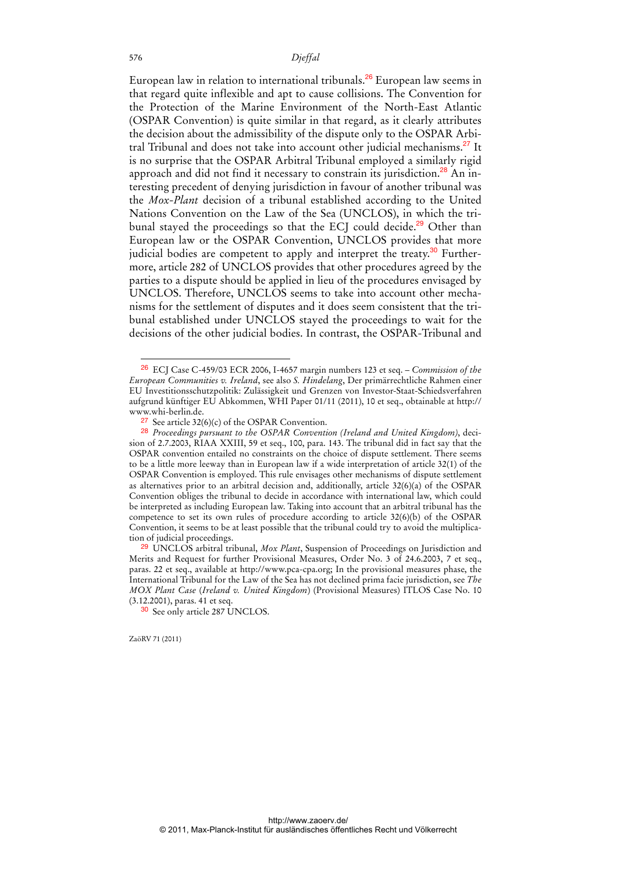European law in relation to international tribunals.<sup>26</sup> European law seems in that regard quite inflexible and apt to cause collisions. The Convention for the Protection of the Marine Environment of the North-East Atlantic (OSPAR Convention) is quite similar in that regard, as it clearly attributes the decision about the admissibility of the dispute only to the OSPAR Arbitral Tribunal and does not take into account other judicial mechanisms.<sup>27</sup> It is no surprise that the OSPAR Arbitral Tribunal employed a similarly rigid approach and did not find it necessary to constrain its jurisdiction.<sup>28</sup> An interesting precedent of denying jurisdiction in favour of another tribunal was the *Mox-Plant* decision of a tribunal established according to the United Nations Convention on the Law of the Sea (UNCLOS), in which the tribunal stayed the proceedings so that the ECJ could decide.<sup>29</sup> Other than European law or the OSPAR Convention, UNCLOS provides that more judicial bodies are competent to apply and interpret the treaty.<sup>30</sup> Furthermore, article 282 of UNCLOS provides that other procedures agreed by the parties to a dispute should be applied in lieu of the procedures envisaged by UNCLOS. Therefore, UNCLOS seems to take into account other mechanisms for the settlement of disputes and it does seem consistent that the tribunal established under UNCLOS stayed the proceedings to wait for the decisions of the other judicial bodies. In contrast, the OSPAR-Tribunal and

ZaöRV 71 (2011)

<sup>26</sup> ECJ Case C-459/03 ECR 2006, I-4657 margin numbers 123 et seq. – *Commission of the European Communities v. Ireland*, see also *S. Hindelang*, Der primärrechtliche Rahmen einer EU Investitionsschutzpolitik: Zulässigkeit und Grenzen von Investor-Staat-Schiedsverfahren aufgrund künftiger EU Abkommen, WHI Paper 01/11 (2011), 10 et seq., obtainable at http:// www.whi-berlin.de.

<sup>27</sup> See article 32(6)(c) of the OSPAR Convention.

<sup>28</sup> *Proceedings pursuant to the OSPAR Convention (Ireland and United Kingdom)*, decision of 2.7.2003, RIAA XXIII, 59 et seq., 100, para. 143. The tribunal did in fact say that the OSPAR convention entailed no constraints on the choice of dispute settlement. There seems to be a little more leeway than in European law if a wide interpretation of article 32(1) of the OSPAR Convention is employed. This rule envisages other mechanisms of dispute settlement as alternatives prior to an arbitral decision and, additionally, article 32(6)(a) of the OSPAR Convention obliges the tribunal to decide in accordance with international law, which could be interpreted as including European law. Taking into account that an arbitral tribunal has the competence to set its own rules of procedure according to article 32(6)(b) of the OSPAR Convention, it seems to be at least possible that the tribunal could try to avoid the multiplication of judicial proceedings.

<sup>29</sup> UNCLOS arbitral tribunal, *Mox Plant*, Suspension of Proceedings on Jurisdiction and Merits and Request for further Provisional Measures, Order No. 3 of 24.6.2003, 7 et seq., paras. 22 et seq., available at http://www.pca-cpa.org; In the provisional measures phase, the International Tribunal for the Law of the Sea has not declined prima facie jurisdiction, see *The MOX Plant Case* (*Ireland v. United Kingdom*) (Provisional Measures) ITLOS Case No. 10 (3.12.2001), paras. 41 et seq.

<sup>&</sup>lt;sup>30</sup> See only article 287 UNCLOS.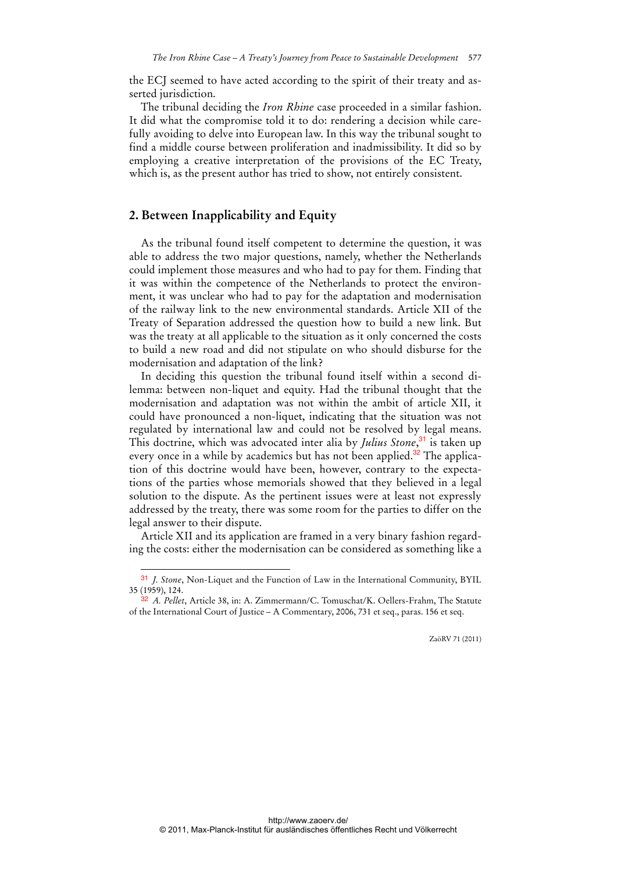the ECJ seemed to have acted according to the spirit of their treaty and asserted jurisdiction.

The tribunal deciding the *Iron Rhine* case proceeded in a similar fashion. It did what the compromise told it to do: rendering a decision while carefully avoiding to delve into European law. In this way the tribunal sought to find a middle course between proliferation and inadmissibility. It did so by employing a creative interpretation of the provisions of the EC Treaty, which is, as the present author has tried to show, not entirely consistent.

### **2. Between Inapplicability and Equity**

 $\overline{a}$ 

As the tribunal found itself competent to determine the question, it was able to address the two major questions, namely, whether the Netherlands could implement those measures and who had to pay for them. Finding that it was within the competence of the Netherlands to protect the environment, it was unclear who had to pay for the adaptation and modernisation of the railway link to the new environmental standards. Article XII of the Treaty of Separation addressed the question how to build a new link. But was the treaty at all applicable to the situation as it only concerned the costs to build a new road and did not stipulate on who should disburse for the modernisation and adaptation of the link?

In deciding this question the tribunal found itself within a second dilemma: between non-liquet and equity. Had the tribunal thought that the modernisation and adaptation was not within the ambit of article XII, it could have pronounced a non-liquet, indicating that the situation was not regulated by international law and could not be resolved by legal means. This doctrine, which was advocated inter alia by *Julius Stone*, <sup>31</sup> is taken up every once in a while by academics but has not been applied.<sup>32</sup> The application of this doctrine would have been, however, contrary to the expectations of the parties whose memorials showed that they believed in a legal solution to the dispute. As the pertinent issues were at least not expressly addressed by the treaty, there was some room for the parties to differ on the legal answer to their dispute.

Article XII and its application are framed in a very binary fashion regarding the costs: either the modernisation can be considered as something like a

<sup>31</sup> *J. Stone*, Non-Liquet and the Function of Law in the International Community, BYIL 35 (1959), 124.

<sup>32</sup> *A. Pellet*, Article 38, in: A. Zimmermann/C. Tomuschat/K. Oellers-Frahm, The Statute of the International Court of Justice – A Commentary, 2006, 731 et seq., paras. 156 et seq.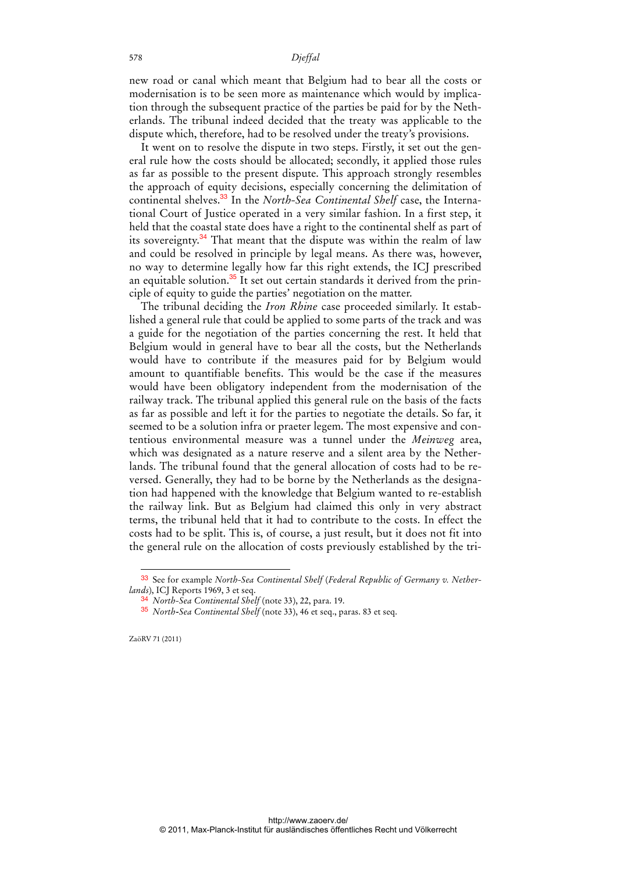new road or canal which meant that Belgium had to bear all the costs or modernisation is to be seen more as maintenance which would by implication through the subsequent practice of the parties be paid for by the Netherlands. The tribunal indeed decided that the treaty was applicable to the dispute which, therefore, had to be resolved under the treaty's provisions.

It went on to resolve the dispute in two steps. Firstly, it set out the general rule how the costs should be allocated; secondly, it applied those rules as far as possible to the present dispute. This approach strongly resembles the approach of equity decisions, especially concerning the delimitation of continental shelves.33 In the *North-Sea Continental Shelf* case, the International Court of Justice operated in a very similar fashion. In a first step, it held that the coastal state does have a right to the continental shelf as part of its sovereignty.<sup>34</sup> That meant that the dispute was within the realm of law and could be resolved in principle by legal means. As there was, however, no way to determine legally how far this right extends, the ICJ prescribed an equitable solution. $35$  It set out certain standards it derived from the principle of equity to guide the parties' negotiation on the matter.

The tribunal deciding the *Iron Rhine* case proceeded similarly. It established a general rule that could be applied to some parts of the track and was a guide for the negotiation of the parties concerning the rest. It held that Belgium would in general have to bear all the costs, but the Netherlands would have to contribute if the measures paid for by Belgium would amount to quantifiable benefits. This would be the case if the measures would have been obligatory independent from the modernisation of the railway track. The tribunal applied this general rule on the basis of the facts as far as possible and left it for the parties to negotiate the details. So far, it seemed to be a solution infra or praeter legem. The most expensive and contentious environmental measure was a tunnel under the *Meinweg* area, which was designated as a nature reserve and a silent area by the Netherlands. The tribunal found that the general allocation of costs had to be reversed. Generally, they had to be borne by the Netherlands as the designation had happened with the knowledge that Belgium wanted to re-establish the railway link. But as Belgium had claimed this only in very abstract terms, the tribunal held that it had to contribute to the costs. In effect the costs had to be split. This is, of course, a just result, but it does not fit into the general rule on the allocation of costs previously established by the tri-

ZaöRV 71 (2011)

<sup>33</sup> See for example *North-Sea Continental Shelf* (*Federal Republic of Germany v. Netherlands*), ICJ Reports 1969, 3 et seq.

<sup>34</sup> *North-Sea Continental Shelf* (note 33), 22, para. 19.

<sup>35</sup> *North-Sea Continental Shelf* (note 33), 46 et seq., paras. 83 et seq.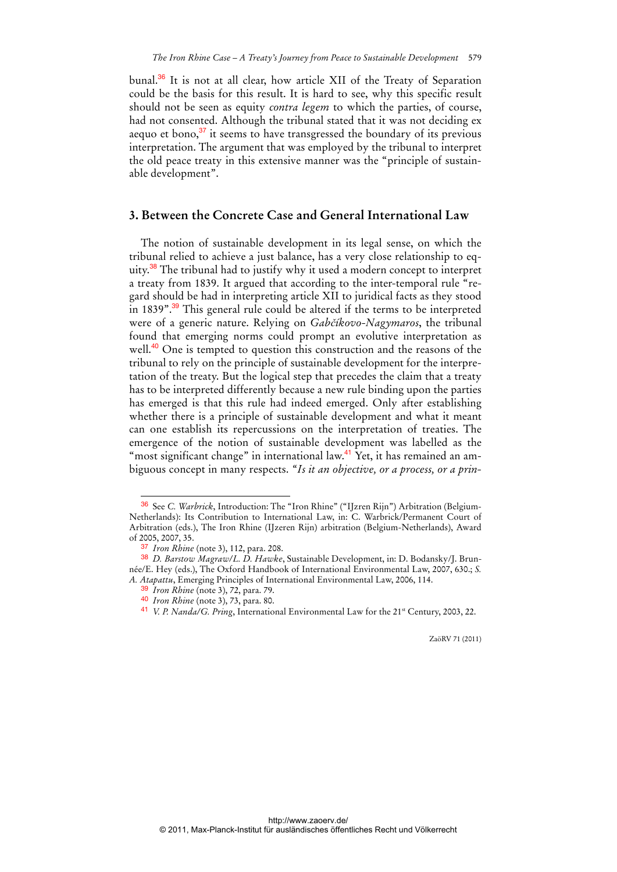bunal.<sup>36</sup> It is not at all clear, how article XII of the Treaty of Separation could be the basis for this result. It is hard to see, why this specific result should not be seen as equity *contra legem* to which the parties, of course, had not consented. Although the tribunal stated that it was not deciding ex aequo et bono,<sup>37</sup> it seems to have transgressed the boundary of its previous interpretation. The argument that was employed by the tribunal to interpret the old peace treaty in this extensive manner was the "principle of sustainable development".

### **3. Between the Concrete Case and General International Law**

The notion of sustainable development in its legal sense, on which the tribunal relied to achieve a just balance, has a very close relationship to equity.<sup>38</sup> The tribunal had to justify why it used a modern concept to interpret a treaty from 1839. It argued that according to the inter-temporal rule "regard should be had in interpreting article XII to juridical facts as they stood in 1839".<sup>39</sup> This general rule could be altered if the terms to be interpreted were of a generic nature. Relying on *Gabčíkovo-Nagymaros*, the tribunal found that emerging norms could prompt an evolutive interpretation as well.<sup>40</sup> One is tempted to question this construction and the reasons of the tribunal to rely on the principle of sustainable development for the interpretation of the treaty. But the logical step that precedes the claim that a treaty has to be interpreted differently because a new rule binding upon the parties has emerged is that this rule had indeed emerged. Only after establishing whether there is a principle of sustainable development and what it meant can one establish its repercussions on the interpretation of treaties. The emergence of the notion of sustainable development was labelled as the "most significant change" in international law.<sup>41</sup> Yet, it has remained an ambiguous concept in many respects. *"Is it an objective, or a process, or a prin-*

<sup>36</sup> See *C. Warbrick*, Introduction: The "Iron Rhine" ("IJzren Rijn") Arbitration (Belgium-Netherlands): Its Contribution to International Law, in: C. Warbrick/Permanent Court of Arbitration (eds.), The Iron Rhine (IJzeren Rijn) arbitration (Belgium-Netherlands), Award of 2005, 2007, 35.

<sup>37</sup> *Iron Rhine* (note 3), 112, para. 208.

<sup>38</sup> *D. Barstow Magraw/L. D. Hawke*, Sustainable Development, in: D. Bodansky/J. Brunnée/E. Hey (eds.), The Oxford Handbook of International Environmental Law, 2007, 630.; *S. A. Atapattu*, Emerging Principles of International Environmental Law, 2006, 114.

<sup>39</sup> *Iron Rhine* (note 3), 72, para. 79.

<sup>40</sup> *Iron Rhine* (note 3), 73, para. 80.

<sup>41</sup> *V. P. Nanda/G. Pring*, International Environmental Law for the 21st Century, 2003, 22.

ZaöRV 71 (2011)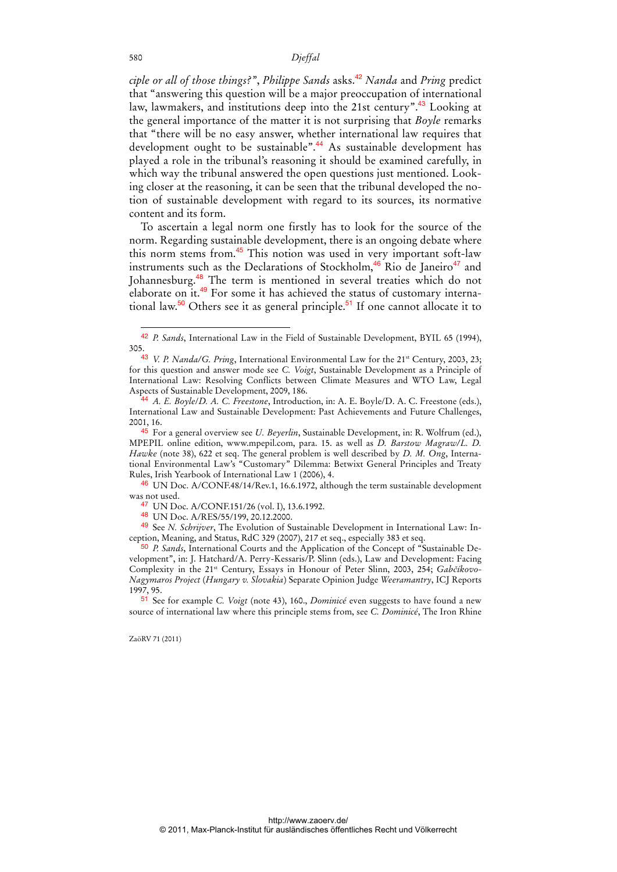*ciple or all of those things?", Philippe Sands* asks.<sup>42</sup> *Nanda* and *Pring* predict that "answering this question will be a major preoccupation of international law, lawmakers, and institutions deep into the 21st century".<sup>43</sup> Looking at the general importance of the matter it is not surprising that *Boyle* remarks that "there will be no easy answer, whether international law requires that development ought to be sustainable".<sup>44</sup> As sustainable development has played a role in the tribunal's reasoning it should be examined carefully, in which way the tribunal answered the open questions just mentioned. Looking closer at the reasoning, it can be seen that the tribunal developed the notion of sustainable development with regard to its sources, its normative content and its form.

To ascertain a legal norm one firstly has to look for the source of the norm. Regarding sustainable development, there is an ongoing debate where this norm stems from.<sup>45</sup> This notion was used in very important soft-law instruments such as the Declarations of Stockholm, $46$  Rio de Janeiro $47$  and Johannesburg.<sup>48</sup> The term is mentioned in several treaties which do not elaborate on it.49 For some it has achieved the status of customary international law.<sup>50</sup> Others see it as general principle.<sup>51</sup> If one cannot allocate it to

46 UN Doc. A/CONF.48/14/Rev.1, 16.6.1972, although the term sustainable development was not used.

47 UN Doc. A/CONF.151/26 (vol. I), 13.6.1992.

48 UN Doc. A/RES/55/199, 20.12.2000.

49 See *N. Schrijver*, The Evolution of Sustainable Development in International Law: Inception, Meaning, and Status, RdC 329 (2007), 217 et seq., especially 383 et seq.

50 *P. Sands*, International Courts and the Application of the Concept of "Sustainable Development", in: J. Hatchard/A. Perry-Kessaris/P. Slinn (eds.), Law and Development: Facing Complexity in the 21st Century, Essays in Honour of Peter Slinn, 2003, 254; *Gabčíkovo-Nagymaros Project* (*Hungary v. Slovakia*) Separate Opinion Judge *Weeramantry*, ICJ Reports 1997, 95.

51 See for example *C. Voigt* (note 43), 160., *Dominicé* even suggests to have found a new source of international law where this principle stems from, see *C. Dominicé*, The Iron Rhine

ZaöRV 71 (2011)

<sup>42</sup> *P. Sands*, International Law in the Field of Sustainable Development, BYIL 65 (1994), 305.

<sup>43</sup> *V. P. Nanda/G. Pring*, International Environmental Law for the 21st Century, 2003, 23; for this question and answer mode see *C. Voigt*, Sustainable Development as a Principle of International Law: Resolving Conflicts between Climate Measures and WTO Law, Legal Aspects of Sustainable Development, 2009, 186.

<sup>44</sup> *A. E. Boyle*/*D. A. C. Freestone*, Introduction, in: A. E. Boyle/D. A. C. Freestone (eds.), International Law and Sustainable Development: Past Achievements and Future Challenges, 2001, 16.

<sup>45</sup> For a general overview see *U. Beyerlin*, Sustainable Development, in: R. Wolfrum (ed.), MPEPIL online edition, www.mpepil.com, para. 15. as well as *D. Barstow Magraw/L. D. Hawke* (note 38), 622 et seq. The general problem is well described by *D. M. Ong*, International Environmental Law's "Customary" Dilemma: Betwixt General Principles and Treaty Rules, Irish Yearbook of International Law 1 (2006), 4.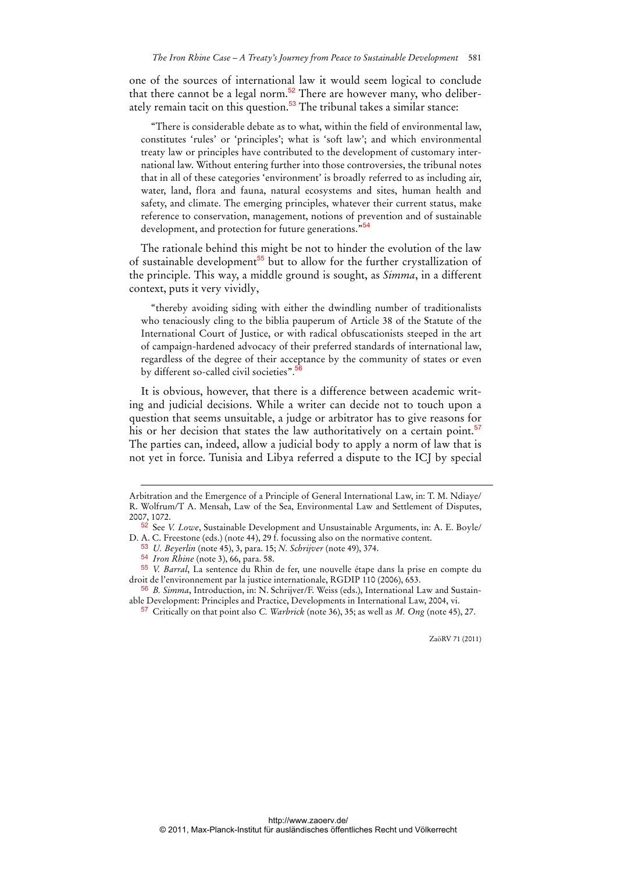one of the sources of international law it would seem logical to conclude that there cannot be a legal norm.<sup>52</sup> There are however many, who deliberately remain tacit on this question.<sup>53</sup> The tribunal takes a similar stance:

"There is considerable debate as to what, within the field of environmental law, constitutes 'rules' or 'principles'; what is 'soft law'; and which environmental treaty law or principles have contributed to the development of customary international law. Without entering further into those controversies, the tribunal notes that in all of these categories 'environment' is broadly referred to as including air, water, land, flora and fauna, natural ecosystems and sites, human health and safety, and climate. The emerging principles, whatever their current status, make reference to conservation, management, notions of prevention and of sustainable development, and protection for future generations."<sup>54</sup>

The rationale behind this might be not to hinder the evolution of the law of sustainable development<sup>55</sup> but to allow for the further crystallization of the principle. This way, a middle ground is sought, as *Simma*, in a different context, puts it very vividly,

"thereby avoiding siding with either the dwindling number of traditionalists who tenaciously cling to the biblia pauperum of Article 38 of the Statute of the International Court of Justice, or with radical obfuscationists steeped in the art of campaign-hardened advocacy of their preferred standards of international law, regardless of the degree of their acceptance by the community of states or even by different so-called civil societies".

It is obvious, however, that there is a difference between academic writing and judicial decisions. While a writer can decide not to touch upon a question that seems unsuitable, a judge or arbitrator has to give reasons for his or her decision that states the law authoritatively on a certain point.<sup>57</sup> The parties can, indeed, allow a judicial body to apply a norm of law that is not yet in force. Tunisia and Libya referred a dispute to the ICJ by special

53 *U. Beyerlin* (note 45), 3, para. 15; *N. Schrijver* (note 49), 374.

-

Arbitration and the Emergence of a Principle of General International Law, in: T. M. Ndiaye/ R. Wolfrum/T A. Mensah, Law of the Sea, Environmental Law and Settlement of Disputes, 2007, 1072.

<sup>52</sup> See *V. Lowe*, Sustainable Development and Unsustainable Arguments, in: A. E. Boyle/ D. A. C. Freestone (eds.) (note 44), 29 f. focussing also on the normative content.

<sup>54</sup> *Iron Rhine* (note 3), 66, para. 58.

<sup>55</sup> *V. Barral*, La sentence du Rhin de fer, une nouvelle étape dans la prise en compte du droit de l'environnement par la justice internationale, RGDIP 110 (2006), 653.

<sup>56</sup> *B. Simma*, Introduction, in: N. Schrijver/F. Weiss (eds.), International Law and Sustainable Development: Principles and Practice, Developments in International Law, 2004, vi.

<sup>57</sup> Critically on that point also *C. Warbrick* (note 36), 35; as well as *M. Ong* (note 45), 27.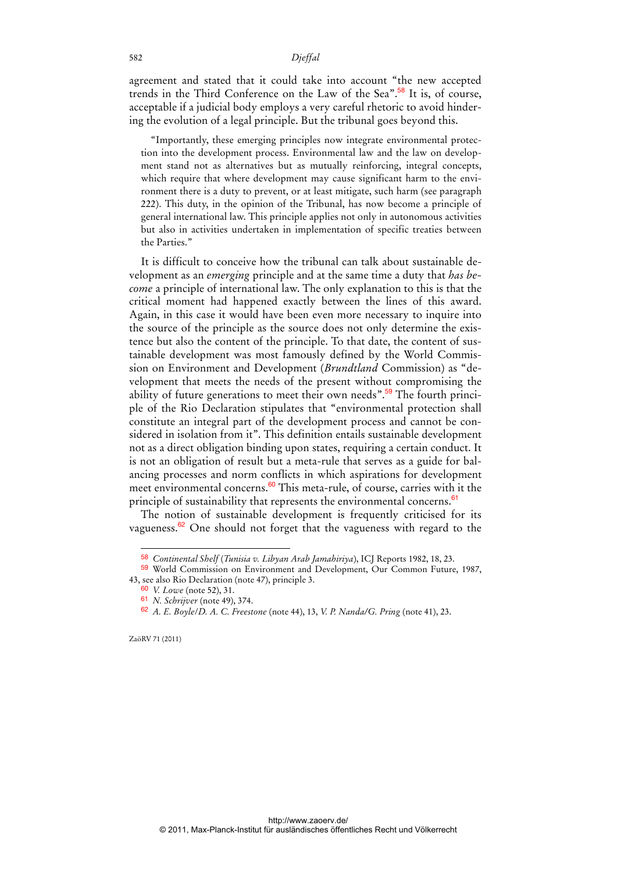agreement and stated that it could take into account "the new accepted trends in the Third Conference on the Law of the Sea".<sup>58</sup> It is, of course, acceptable if a judicial body employs a very careful rhetoric to avoid hindering the evolution of a legal principle. But the tribunal goes beyond this.

"Importantly, these emerging principles now integrate environmental protection into the development process. Environmental law and the law on development stand not as alternatives but as mutually reinforcing, integral concepts, which require that where development may cause significant harm to the environment there is a duty to prevent, or at least mitigate, such harm (see paragraph 222). This duty, in the opinion of the Tribunal, has now become a principle of general international law. This principle applies not only in autonomous activities but also in activities undertaken in implementation of specific treaties between the Parties."

It is difficult to conceive how the tribunal can talk about sustainable development as an *emerging* principle and at the same time a duty that *has become* a principle of international law. The only explanation to this is that the critical moment had happened exactly between the lines of this award. Again, in this case it would have been even more necessary to inquire into the source of the principle as the source does not only determine the existence but also the content of the principle. To that date, the content of sustainable development was most famously defined by the World Commission on Environment and Development (*Brundtland* Commission) as "development that meets the needs of the present without compromising the ability of future generations to meet their own needs".<sup>59</sup> The fourth principle of the Rio Declaration stipulates that "environmental protection shall constitute an integral part of the development process and cannot be considered in isolation from it". This definition entails sustainable development not as a direct obligation binding upon states, requiring a certain conduct. It is not an obligation of result but a meta-rule that serves as a guide for balancing processes and norm conflicts in which aspirations for development meet environmental concerns.<sup>60</sup> This meta-rule, of course, carries with it the principle of sustainability that represents the environmental concerns.<sup>61</sup>

The notion of sustainable development is frequently criticised for its vagueness.<sup>62</sup> One should not forget that the vagueness with regard to the

 $\ddot{ }$ 

<sup>58</sup> *Continental Shelf* (*Tunisia v. Libyan Arab Jamahiriya*), ICJ Reports 1982, 18, 23.

<sup>59</sup> World Commission on Environment and Development, Our Common Future, 1987, 43, see also Rio Declaration (note 47), principle 3.

<sup>60</sup> *V. Lowe* (note 52), 31.

<sup>61</sup> *N. Schrijver* (note 49), 374.

<sup>62</sup> *A. E. Boyle*/*D. A. C. Freestone* (note 44), 13, *V. P. Nanda/G. Pring* (note 41), 23.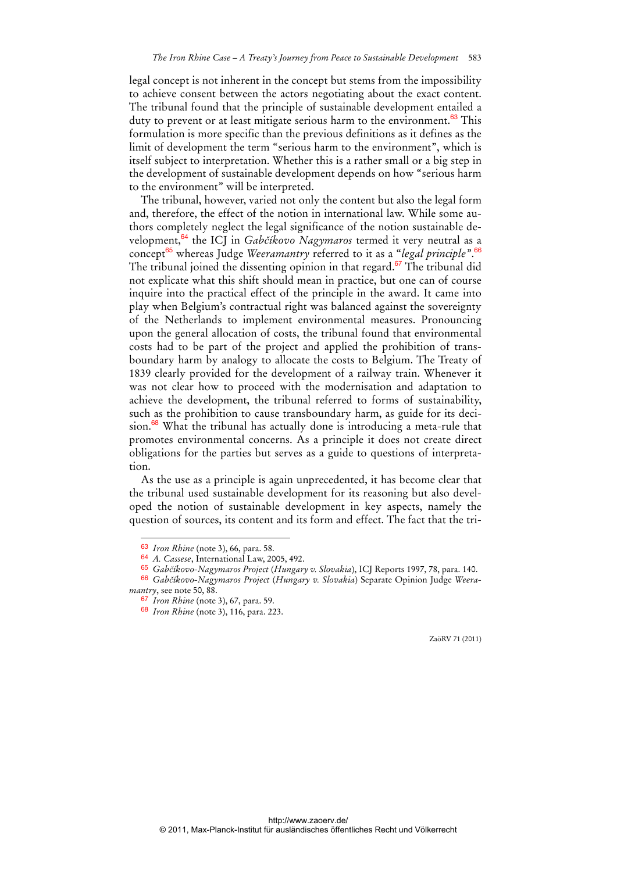legal concept is not inherent in the concept but stems from the impossibility to achieve consent between the actors negotiating about the exact content. The tribunal found that the principle of sustainable development entailed a duty to prevent or at least mitigate serious harm to the environment.<sup>63</sup> This formulation is more specific than the previous definitions as it defines as the limit of development the term "serious harm to the environment", which is itself subject to interpretation. Whether this is a rather small or a big step in the development of sustainable development depends on how "serious harm to the environment" will be interpreted.

The tribunal, however, varied not only the content but also the legal form and, therefore, the effect of the notion in international law. While some authors completely neglect the legal significance of the notion sustainable development,<sup>64</sup> the ICJ in *Gabčíkovo Nagymaros* termed it very neutral as a concept<sup>65</sup> whereas Judge *Weeramantry* referred to it as a "*legal principle"*. 66 The tribunal joined the dissenting opinion in that regard.<sup>67</sup> The tribunal did not explicate what this shift should mean in practice, but one can of course inquire into the practical effect of the principle in the award. It came into play when Belgium's contractual right was balanced against the sovereignty of the Netherlands to implement environmental measures. Pronouncing upon the general allocation of costs, the tribunal found that environmental costs had to be part of the project and applied the prohibition of transboundary harm by analogy to allocate the costs to Belgium. The Treaty of 1839 clearly provided for the development of a railway train. Whenever it was not clear how to proceed with the modernisation and adaptation to achieve the development, the tribunal referred to forms of sustainability, such as the prohibition to cause transboundary harm, as guide for its deci $sion.<sup>68</sup>$  What the tribunal has actually done is introducing a meta-rule that promotes environmental concerns. As a principle it does not create direct obligations for the parties but serves as a guide to questions of interpretation.

As the use as a principle is again unprecedented, it has become clear that the tribunal used sustainable development for its reasoning but also developed the notion of sustainable development in key aspects, namely the question of sources, its content and its form and effect. The fact that the tri-

 $\ddot{ }$ 

<sup>63</sup> *Iron Rhine* (note 3), 66, para. 58.

<sup>64</sup> *A. Cassese*, International Law, 2005, 492.

<sup>65</sup> *Gabčíkovo-Nagymaros Project* (*Hungary v. Slovakia*), ICJ Reports 1997, 78, para. 140.

<sup>66</sup> *Gabčíkovo-Nagymaros Project* (*Hungary v. Slovakia*) Separate Opinion Judge *Weeramantry*, see note 50, 88.

<sup>67</sup> *Iron Rhine* (note 3), 67, para. 59.

<sup>68</sup> *Iron Rhine* (note 3), 116, para. 223.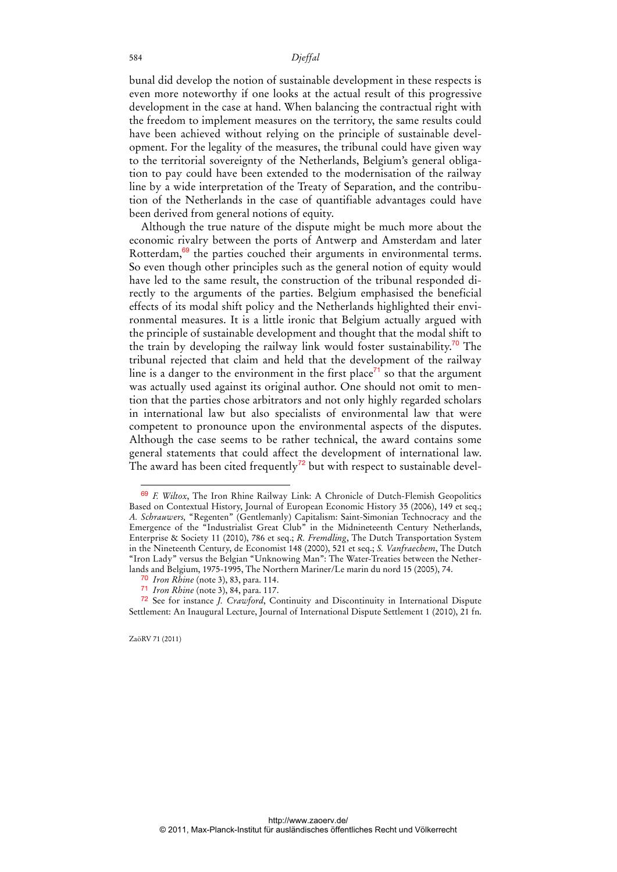bunal did develop the notion of sustainable development in these respects is even more noteworthy if one looks at the actual result of this progressive development in the case at hand. When balancing the contractual right with the freedom to implement measures on the territory, the same results could have been achieved without relying on the principle of sustainable development. For the legality of the measures, the tribunal could have given way to the territorial sovereignty of the Netherlands, Belgium's general obligation to pay could have been extended to the modernisation of the railway line by a wide interpretation of the Treaty of Separation, and the contribution of the Netherlands in the case of quantifiable advantages could have been derived from general notions of equity.

Although the true nature of the dispute might be much more about the economic rivalry between the ports of Antwerp and Amsterdam and later Rotterdam,<sup>69</sup> the parties couched their arguments in environmental terms. So even though other principles such as the general notion of equity would have led to the same result, the construction of the tribunal responded directly to the arguments of the parties. Belgium emphasised the beneficial effects of its modal shift policy and the Netherlands highlighted their environmental measures. It is a little ironic that Belgium actually argued with the principle of sustainable development and thought that the modal shift to the train by developing the railway link would foster sustainability.<sup>70</sup> The tribunal rejected that claim and held that the development of the railway line is a danger to the environment in the first place<sup>71</sup> so that the argument was actually used against its original author. One should not omit to mention that the parties chose arbitrators and not only highly regarded scholars in international law but also specialists of environmental law that were competent to pronounce upon the environmental aspects of the disputes. Although the case seems to be rather technical, the award contains some general statements that could affect the development of international law. The award has been cited frequently<sup>72</sup> but with respect to sustainable devel-

ZaöRV 71 (2011)

<sup>69</sup> *F. Wiltox*, The Iron Rhine Railway Link: A Chronicle of Dutch-Flemish Geopolitics Based on Contextual History, Journal of European Economic History 35 (2006), 149 et seq.; *A. Schrauwers,* "Regenten" (Gentlemanly) Capitalism: Saint-Simonian Technocracy and the Emergence of the "Industrialist Great Club" in the Midnineteenth Century Netherlands, Enterprise & Society 11 (2010), 786 et seq.; *R. Fremdling*, The Dutch Transportation System in the Nineteenth Century, de Economist 148 (2000), 521 et seq.; *S. Vanfraechem*, The Dutch "Iron Lady" versus the Belgian "Unknowing Man": The Water-Treaties between the Netherlands and Belgium, 1975-1995, The Northern Mariner/Le marin du nord 15 (2005), 74.

<sup>70</sup> *Iron Rhine* (note 3), 83, para. 114.

<sup>71</sup> *Iron Rhine* (note 3), 84, para. 117.

<sup>72</sup> See for instance *J. Crawford*, Continuity and Discontinuity in International Dispute Settlement: An Inaugural Lecture, Journal of International Dispute Settlement 1 (2010), 21 fn.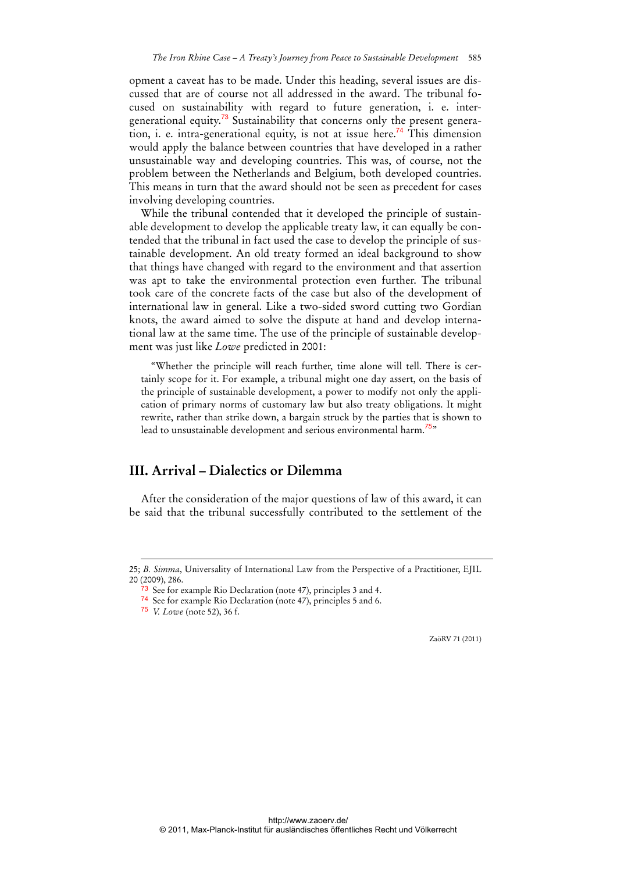opment a caveat has to be made. Under this heading, several issues are discussed that are of course not all addressed in the award. The tribunal focused on sustainability with regard to future generation, i. e. intergenerational equity.<sup>73</sup> Sustainability that concerns only the present generation, i. e. intra-generational equity, is not at issue here.<sup>74</sup> This dimension would apply the balance between countries that have developed in a rather unsustainable way and developing countries. This was, of course, not the problem between the Netherlands and Belgium, both developed countries. This means in turn that the award should not be seen as precedent for cases involving developing countries.

While the tribunal contended that it developed the principle of sustainable development to develop the applicable treaty law, it can equally be contended that the tribunal in fact used the case to develop the principle of sustainable development. An old treaty formed an ideal background to show that things have changed with regard to the environment and that assertion was apt to take the environmental protection even further. The tribunal took care of the concrete facts of the case but also of the development of international law in general. Like a two-sided sword cutting two Gordian knots, the award aimed to solve the dispute at hand and develop international law at the same time. The use of the principle of sustainable development was just like *Lowe* predicted in 2001:

"Whether the principle will reach further, time alone will tell. There is certainly scope for it. For example, a tribunal might one day assert, on the basis of the principle of sustainable development, a power to modify not only the application of primary norms of customary law but also treaty obligations. It might rewrite, rather than strike down, a bargain struck by the parties that is shown to lead to unsustainable development and serious environmental harm.*<sup>75</sup>*"

### **III. Arrival – Dialectics or Dilemma**

After the consideration of the major questions of law of this award, it can be said that the tribunal successfully contributed to the settlement of the

-

<sup>25;</sup> *B. Simma*, Universality of International Law from the Perspective of a Practitioner, EJIL 20 (2009), 286.

<sup>73</sup> See for example Rio Declaration (note 47), principles 3 and 4.

<sup>74</sup> See for example Rio Declaration (note 47), principles 5 and 6.

<sup>75</sup> *V. Lowe* (note 52), 36 f.